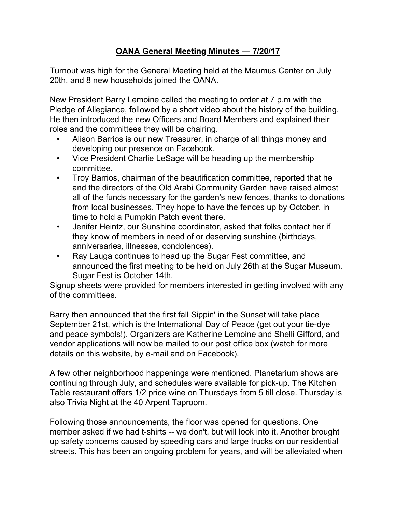## **OANA General Meeting Minutes — 7/20/17**

Turnout was high for the General Meeting held at the Maumus Center on July 20th, and 8 new households joined the OANA.

New President Barry Lemoine called the meeting to order at 7 p.m with the Pledge of Allegiance, followed by a short video about the history of the building. He then introduced the new Officers and Board Members and explained their roles and the committees they will be chairing.

- Alison Barrios is our new Treasurer, in charge of all things money and developing our presence on Facebook.
- Vice President Charlie LeSage will be heading up the membership committee.
- Troy Barrios, chairman of the beautification committee, reported that he and the directors of the Old Arabi Community Garden have raised almost all of the funds necessary for the garden's new fences, thanks to donations from local businesses. They hope to have the fences up by October, in time to hold a Pumpkin Patch event there.
- Jenifer Heintz, our Sunshine coordinator, asked that folks contact her if they know of members in need of or deserving sunshine (birthdays, anniversaries, illnesses, condolences).
- Ray Lauga continues to head up the Sugar Fest committee, and announced the first meeting to be held on July 26th at the Sugar Museum. Sugar Fest is October 14th.

Signup sheets were provided for members interested in getting involved with any of the committees.

Barry then announced that the first fall Sippin' in the Sunset will take place September 21st, which is the International Day of Peace (get out your tie-dye and peace symbols!). Organizers are Katherine Lemoine and Shelli Gifford, and vendor applications will now be mailed to our post office box (watch for more details on this website, by e-mail and on Facebook).

A few other neighborhood happenings were mentioned. Planetarium shows are continuing through July, and schedules were available for pick-up. The Kitchen Table restaurant offers 1/2 price wine on Thursdays from 5 till close. Thursday is also Trivia Night at the 40 Arpent Taproom.

Following those announcements, the floor was opened for questions. One member asked if we had t-shirts -- we don't, but will look into it. Another brought up safety concerns caused by speeding cars and large trucks on our residential streets. This has been an ongoing problem for years, and will be alleviated when